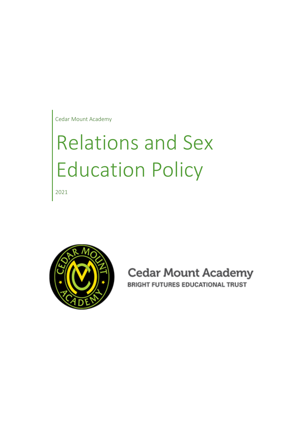Cedar Mount Academy

# Relations and Sex Education Policy

2021



**Cedar Mount Academy BRIGHT FUTURES EDUCATIONAL TRUST**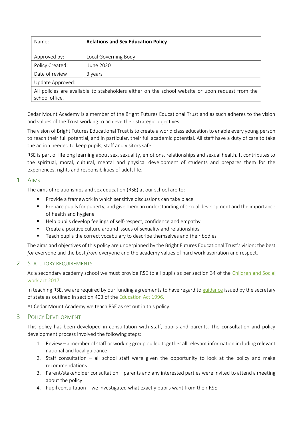| Name:                                                                                                              | <b>Relations and Sex Education Policy</b> |
|--------------------------------------------------------------------------------------------------------------------|-------------------------------------------|
| Approved by:                                                                                                       | Local Governing Body                      |
| Policy Created:                                                                                                    | June 2020                                 |
| Date of review                                                                                                     | 3 years                                   |
| Update Approved:                                                                                                   |                                           |
| All policies are available to stakeholders either on the school website or upon request from the<br>school office. |                                           |

Cedar Mount Academy is a member of the Bright Futures Educational Trust and as such adheres to the vision and values of the Trust working to achieve their strategic objectives.

The vision of Bright Futures Educational Trust is to create a world class education to enable every young person to reach their full potential, and in particular, their full academic potential. All staff have a duty of care to take the action needed to keep pupils, staff and visitors safe.

RSE is part of lifelong learning about sex, sexuality, emotions, relationships and sexual health. It contributes to the spiritual, moral, cultural, mental and physical development of students and prepares them for the experiences, rights and responsibilities of adult life.

#### 1 AIMS

The aims of relationships and sex education (RSE) at our school are to:

- Provide a framework in which sensitive discussions can take place
- **•** Prepare pupils for puberty, and give them an understanding of sexual development and the importance of health and hygiene
- Help pupils develop feelings of self-respect, confidence and empathy
- Create a positive culture around issues of sexuality and relationships
- Teach pupils the correct vocabulary to describe themselves and their bodies

The aims and objectives of this policy are underpinned by the Bright Futures Educational Trust's vision: the best *for* everyone and the best *from* everyone and the academy values of hard work aspiration and respect.

#### 2 STATUTORY REQUIREMENTS

As a secondary academy school we must provide RSE to all pupils as per section 34 of the [Children and Social](http://www.legislation.gov.uk/ukpga/2017/16/section/34/enacted)  [work act 2017.](http://www.legislation.gov.uk/ukpga/2017/16/section/34/enacted)

In teaching RSE, we are required by our funding agreements to have regard to [guidance](https://www.gov.uk/government/consultations/relationships-and-sex-education-and-health-education) issued by the secretary of state as outlined in section 403 of the [Education Act 1996.](http://www.legislation.gov.uk/ukpga/1996/56/contents)

At Cedar Mount Academy we teach RSE as set out in this policy.

#### 3 POLICY DEVELOPMENT

This policy has been developed in consultation with staff, pupils and parents. The consultation and policy development process involved the following steps:

- 1. Review a member of staff or working group pulled together all relevant information including relevant national and local guidance
- 2. Staff consultation all school staff were given the opportunity to look at the policy and make recommendations
- 3. Parent/stakeholder consultation parents and any interested parties were invited to attend a meeting about the policy
- 4. Pupil consultation we investigated what exactly pupils want from their RSE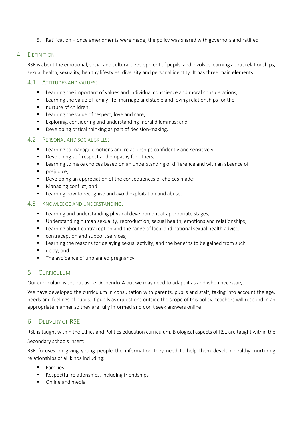5. Ratification – once amendments were made, the policy was shared with governors and ratified

#### 4 DEFINITION

RSE is about the emotional, social and cultural development of pupils, and involves learning about relationships, sexual health, sexuality, healthy lifestyles, diversity and personal identity. It has three main elements:

#### 4.1 ATTITUDES AND VALUES:

- Learning the important of values and individual conscience and moral considerations;
- Learning the value of family life, marriage and stable and loving relationships for the
- nurture of children;
- Learning the value of respect, love and care;
- Exploring, considering and understanding moral dilemmas; and
- Developing critical thinking as part of decision-making.

#### 4.2 PERSONAL AND SOCIAL SKILLS:

- Learning to manage emotions and relationships confidently and sensitively;
- Developing self-respect and empathy for others;
- Learning to make choices based on an understanding of difference and with an absence of
- prejudice;
- Developing an appreciation of the consequences of choices made;
- Managing conflict; and
- Learning how to recognise and avoid exploitation and abuse.

#### 4.3 KNOWLEDGE AND UNDERSTANDING:

- Learning and understanding physical development at appropriate stages;
- Understanding human sexuality, reproduction, sexual health, emotions and relationships;
- **■** Learning about contraception and the range of local and national sexual health advice,
- contraception and support services;
- Learning the reasons for delaying sexual activity, and the benefits to be gained from such
- delay; and
- **•** The avoidance of unplanned pregnancy.

## 5 CURRICULUM

Our curriculum is set out as per Appendix A but we may need to adapt it as and when necessary.

We have developed the curriculum in consultation with parents, pupils and staff, taking into account the age, needs and feelings of pupils. If pupils ask questions outside the scope of this policy, teachers will respond in an appropriate manner so they are fully informed and don't seek answers online.

## 6 DELIVERY OF RSE

RSE is taught within the Ethics and Politics education curriculum. Biological aspects of RSE are taught within the Secondary schools insert:

RSE focuses on giving young people the information they need to help them develop healthy, nurturing relationships of all kinds including:

- Families
- Respectful relationships, including friendships
- Online and media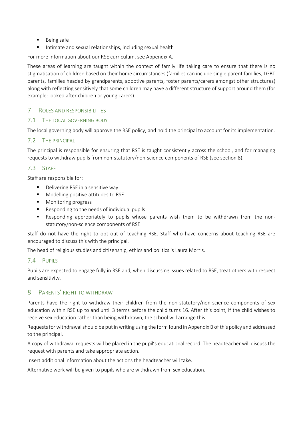- Being safe
- Intimate and sexual relationships, including sexual health

For more information about our RSE curriculum, see Appendix A.

These areas of learning are taught within the context of family life taking care to ensure that there is no stigmatisation of children based on their home circumstances (families can include single parent families, LGBT parents, families headed by grandparents, adoptive parents, foster parents/carers amongst other structures) along with reflecting sensitively that some children may have a different structure of support around them (for example: looked after children or young carers).

#### 7 ROLES AND RESPONSIBILITIES

#### 7.1 THE LOCAL GOVERNING BODY

The local governing body will approve the RSE policy, and hold the principal to account for its implementation.

#### 7.2 THE PRINCIPAL

The principal is responsible for ensuring that RSE is taught consistently across the school, and for managing requests to withdraw pupils from non-statutory/non-science components of RSE (see section 8).

#### 7.3 STAFF

Staff are responsible for:

- Delivering RSE in a sensitive way
- Modelling positive attitudes to RSE
- Monitoring progress
- Responding to the needs of individual pupils
- Responding appropriately to pupils whose parents wish them to be withdrawn from the nonstatutory/non-science components of RSE

Staff do not have the right to opt out of teaching RSE. Staff who have concerns about teaching RSE are encouraged to discuss this with the principal.

The head of religious studies and citizenship, ethics and politics is Laura Morris.

#### 7.4 PUPILS

Pupils are expected to engage fully in RSE and, when discussing issues related to RSE, treat others with respect and sensitivity.

#### 8 PARENTS' RIGHT TO WITHDRAW

Parents have the right to withdraw their children from the non-statutory/non-science components of sex education within RSE up to and until 3 terms before the child turns 16. After this point, if the child wishes to receive sex education rather than being withdrawn, the school will arrange this.

Requests for withdrawal should be put in writing using the form found in Appendix B of this policy and addressed to the principal.

A copy of withdrawal requests will be placed in the pupil's educational record. The headteacher will discuss the request with parents and take appropriate action.

Insert additional information about the actions the headteacher will take.

Alternative work will be given to pupils who are withdrawn from sex education.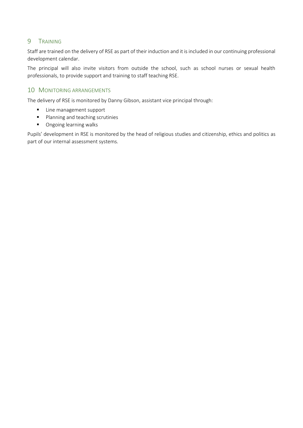## 9 TRAINING

Staff are trained on the delivery of RSE as part of their induction and it is included in our continuing professional development calendar.

The principal will also invite visitors from outside the school, such as school nurses or sexual health professionals, to provide support and training to staff teaching RSE.

#### 10 MONITORING ARRANGEMENTS

The delivery of RSE is monitored by Danny Gibson, assistant vice principal through:

- Line management support
- Planning and teaching scrutinies
- Ongoing learning walks

Pupils' development in RSE is monitored by the head of religious studies and citizenship, ethics and politics as part of our internal assessment systems.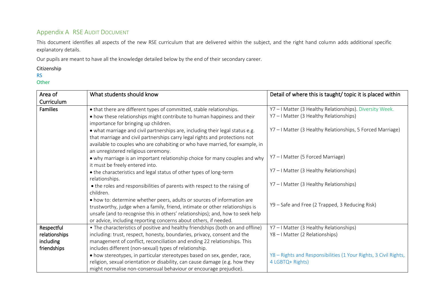## Appendix A RSE AUDIT DOCUMENT

This document identifies all aspects of the new RSE curriculum that are delivered within the subject, and the right hand column adds additional specific explanatory details.

Our pupils are meant to have all the knowledge detailed below by the end of their secondary career.

#### Citizenship

RS

**Other** 

| Area of         | What students should know                                                                                                                           | Detail of where this is taught/ topic it is placed within                                       |
|-----------------|-----------------------------------------------------------------------------------------------------------------------------------------------------|-------------------------------------------------------------------------------------------------|
| Curriculum      |                                                                                                                                                     |                                                                                                 |
| <b>Families</b> | • that there are different types of committed, stable relationships.<br>• how these relationships might contribute to human happiness and their     | Y7-I Matter (3 Healthy Relationships). Diversity Week.<br>Y7-I Matter (3 Healthy Relationships) |
|                 | importance for bringing up children.                                                                                                                |                                                                                                 |
|                 | . what marriage and civil partnerships are, including their legal status e.g.                                                                       | Y7-I Matter (3 Healthy Relationships, 5 Forced Marriage)                                        |
|                 | that marriage and civil partnerships carry legal rights and protections not                                                                         |                                                                                                 |
|                 | available to couples who are cohabiting or who have married, for example, in                                                                        |                                                                                                 |
|                 | an unregistered religious ceremony.                                                                                                                 | Y7-I Matter (5 Forced Marriage)                                                                 |
|                 | • why marriage is an important relationship choice for many couples and why<br>it must be freely entered into.                                      |                                                                                                 |
|                 | • the characteristics and legal status of other types of long-term                                                                                  | Y7-I Matter (3 Healthy Relationships)                                                           |
|                 | relationships.                                                                                                                                      |                                                                                                 |
|                 | • the roles and responsibilities of parents with respect to the raising of                                                                          | Y7-I Matter (3 Healthy Relationships)                                                           |
|                 | children.                                                                                                                                           |                                                                                                 |
|                 | • how to: determine whether peers, adults or sources of information are                                                                             | Y9 - Safe and Free (2 Trapped, 3 Reducing Risk)                                                 |
|                 | trustworthy, judge when a family, friend, intimate or other relationships is                                                                        |                                                                                                 |
|                 | unsafe (and to recognise this in others' relationships); and, how to seek help                                                                      |                                                                                                 |
| Respectful      | or advice, including reporting concerns about others, if needed.<br>• The characteristics of positive and healthy friendships (both on and offline) | Y7-I Matter (3 Healthy Relationships)                                                           |
| relationships   | including: trust, respect, honesty, boundaries, privacy, consent and the                                                                            | Y8-I Matter (2 Relationships)                                                                   |
| including       | management of conflict, reconciliation and ending 22 relationships. This                                                                            |                                                                                                 |
| friendships     | includes different (non-sexual) types of relationship.                                                                                              |                                                                                                 |
|                 | • how stereotypes, in particular stereotypes based on sex, gender, race,                                                                            | Y8 - Rights and Responsibilities (1 Your Rights, 3 Civil Rights,                                |
|                 | religion, sexual orientation or disability, can cause damage (e.g. how they                                                                         | 4 LGBTQ+ Rights)                                                                                |
|                 | might normalise non-consensual behaviour or encourage prejudice).                                                                                   |                                                                                                 |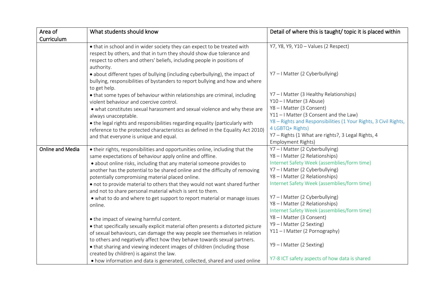| Area of                 | What students should know                                                                                                                                                                                                                                                                                                                                                                                                                                                                                                                                                                                                                                                                                                                                                                                                                                                                                                                                                                                                                                                                  | Detail of where this is taught/topic it is placed within                                                                                                                                                                                                                                                                                                                                                                                                                                                          |
|-------------------------|--------------------------------------------------------------------------------------------------------------------------------------------------------------------------------------------------------------------------------------------------------------------------------------------------------------------------------------------------------------------------------------------------------------------------------------------------------------------------------------------------------------------------------------------------------------------------------------------------------------------------------------------------------------------------------------------------------------------------------------------------------------------------------------------------------------------------------------------------------------------------------------------------------------------------------------------------------------------------------------------------------------------------------------------------------------------------------------------|-------------------------------------------------------------------------------------------------------------------------------------------------------------------------------------------------------------------------------------------------------------------------------------------------------------------------------------------------------------------------------------------------------------------------------------------------------------------------------------------------------------------|
| Curriculum              |                                                                                                                                                                                                                                                                                                                                                                                                                                                                                                                                                                                                                                                                                                                                                                                                                                                                                                                                                                                                                                                                                            |                                                                                                                                                                                                                                                                                                                                                                                                                                                                                                                   |
|                         | • that in school and in wider society they can expect to be treated with<br>respect by others, and that in turn they should show due tolerance and<br>respect to others and others' beliefs, including people in positions of<br>authority.                                                                                                                                                                                                                                                                                                                                                                                                                                                                                                                                                                                                                                                                                                                                                                                                                                                | Y7, Y8, Y9, Y10 - Values (2 Respect)                                                                                                                                                                                                                                                                                                                                                                                                                                                                              |
|                         | · about different types of bullying (including cyberbullying), the impact of<br>bullying, responsibilities of bystanders to report bullying and how and where<br>to get help.                                                                                                                                                                                                                                                                                                                                                                                                                                                                                                                                                                                                                                                                                                                                                                                                                                                                                                              | Y7-I Matter (2 Cyberbullying)                                                                                                                                                                                                                                                                                                                                                                                                                                                                                     |
|                         | • that some types of behaviour within relationships are criminal, including<br>violent behaviour and coercive control.<br>. what constitutes sexual harassment and sexual violence and why these are<br>always unacceptable.                                                                                                                                                                                                                                                                                                                                                                                                                                                                                                                                                                                                                                                                                                                                                                                                                                                               | Y7-I Matter (3 Healthy Relationships)<br>Y10-I Matter (3 Abuse)<br>Y8-I Matter (3 Consent)<br>Y11-I Matter (3 Consent and the Law)                                                                                                                                                                                                                                                                                                                                                                                |
|                         | • the legal rights and responsibilities regarding equality (particularly with<br>reference to the protected characteristics as defined in the Equality Act 2010)<br>and that everyone is unique and equal.                                                                                                                                                                                                                                                                                                                                                                                                                                                                                                                                                                                                                                                                                                                                                                                                                                                                                 | Y8 - Rights and Responsibilities (1 Your Rights, 3 Civil Rights,<br>4 LGBTQ+ Rights)<br>Y7 - Rights (1 What are rights?, 3 Legal Rights, 4<br><b>Employment Rights)</b>                                                                                                                                                                                                                                                                                                                                           |
| <b>Online and Media</b> | • their rights, responsibilities and opportunities online, including that the<br>same expectations of behaviour apply online and offline.<br>• about online risks, including that any material someone provides to<br>another has the potential to be shared online and the difficulty of removing<br>potentially compromising material placed online.<br>• not to provide material to others that they would not want shared further<br>and not to share personal material which is sent to them.<br>• what to do and where to get support to report material or manage issues<br>online.<br>• the impact of viewing harmful content.<br>• that specifically sexually explicit material often presents a distorted picture<br>of sexual behaviours, can damage the way people see themselves in relation<br>to others and negatively affect how they behave towards sexual partners.<br>• that sharing and viewing indecent images of children (including those<br>created by children) is against the law.<br>. how information and data is generated, collected, shared and used online | Y7-I Matter (2 Cyberbullying)<br>Y8-I Matter (2 Relationships)<br>Internet Safety Week (assemblies/form time)<br>Y7-I Matter (2 Cyberbullying)<br>Y8-I Matter (2 Relationships)<br>Internet Safety Week (assemblies/form time)<br>Y7-I Matter (2 Cyberbullying)<br>Y8-I Matter (2 Relationships)<br>Internet Safety Week (assemblies/form time)<br>Y8-I Matter (3 Consent)<br>Y9-I Matter (2 Sexting)<br>Y11-I Matter (2 Pornography)<br>Y9-I Matter (2 Sexting)<br>Y7-8 ICT safety aspects of how data is shared |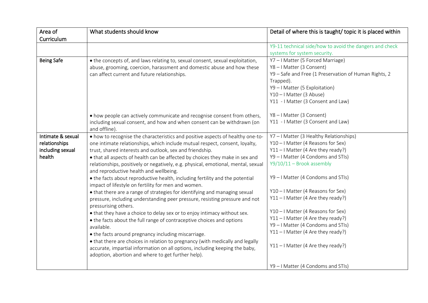| Area of           | What students should know                                                                                                                                                                                          | Detail of where this is taught/topic it is placed within                   |
|-------------------|--------------------------------------------------------------------------------------------------------------------------------------------------------------------------------------------------------------------|----------------------------------------------------------------------------|
| Curriculum        |                                                                                                                                                                                                                    |                                                                            |
|                   |                                                                                                                                                                                                                    | Y9-11 technical side/how to avoid the dangers and check                    |
|                   |                                                                                                                                                                                                                    | systems for system security.                                               |
| <b>Being Safe</b> | • the concepts of, and laws relating to, sexual consent, sexual exploitation,                                                                                                                                      | Y7-I Matter (5 Forced Marriage)                                            |
|                   | abuse, grooming, coercion, harassment and domestic abuse and how these                                                                                                                                             | Y8-I Matter (3 Consent)                                                    |
|                   | can affect current and future relationships.                                                                                                                                                                       | Y9 - Safe and Free (1 Preservation of Human Rights, 2                      |
|                   |                                                                                                                                                                                                                    | Trapped).                                                                  |
|                   |                                                                                                                                                                                                                    | Y9-I Matter (5 Exploitation)                                               |
|                   |                                                                                                                                                                                                                    | Y10-I Matter (3 Abuse)                                                     |
|                   |                                                                                                                                                                                                                    | Y11 - I Matter (3 Consent and Law)                                         |
|                   | • how people can actively communicate and recognise consent from others,                                                                                                                                           | Y8-I Matter (3 Consent)                                                    |
|                   | including sexual consent, and how and when consent can be withdrawn (on<br>and offline).                                                                                                                           | Y11 - I Matter (3 Consent and Law)                                         |
| Intimate & sexual | • how to recognise the characteristics and positive aspects of healthy one-to-                                                                                                                                     | Y7-I Matter (3 Healthy Relationships)                                      |
| relationships     | one intimate relationships, which include mutual respect, consent, loyalty,                                                                                                                                        | Y10-I Matter (4 Reasons for Sex)                                           |
| including sexual  | trust, shared interests and outlook, sex and friendship.                                                                                                                                                           | $Y11 - I$ Matter (4 Are they ready?)                                       |
| health            | . that all aspects of health can be affected by choices they make in sex and                                                                                                                                       | Y9 - I Matter (4 Condoms and STIs)                                         |
|                   | relationships, positively or negatively, e.g. physical, emotional, mental, sexual<br>and reproductive health and wellbeing.                                                                                        | $Y9/10/11 -$ Brook assembly                                                |
|                   | • the facts about reproductive health, including fertility and the potential<br>impact of lifestyle on fertility for men and women.                                                                                | Y9 - I Matter (4 Condoms and STIs)                                         |
|                   | • that there are a range of strategies for identifying and managing sexual                                                                                                                                         | Y10 - I Matter (4 Reasons for Sex)                                         |
|                   | pressure, including understanding peer pressure, resisting pressure and not                                                                                                                                        | $Y11 - I$ Matter (4 Are they ready?)                                       |
|                   | pressurising others.                                                                                                                                                                                               |                                                                            |
|                   | • that they have a choice to delay sex or to enjoy intimacy without sex.                                                                                                                                           | Y10 - I Matter (4 Reasons for Sex)                                         |
|                   | • the facts about the full range of contraceptive choices and options                                                                                                                                              | $Y11 - I$ Matter (4 Are they ready?)<br>Y9 - I Matter (4 Condoms and STIs) |
|                   | available.                                                                                                                                                                                                         | Y11-I Matter (4 Are they ready?)                                           |
|                   | • the facts around pregnancy including miscarriage.                                                                                                                                                                |                                                                            |
|                   | • that there are choices in relation to pregnancy (with medically and legally<br>accurate, impartial information on all options, including keeping the baby,<br>adoption, abortion and where to get further help). | Y11-I Matter (4 Are they ready?)                                           |
|                   |                                                                                                                                                                                                                    | Y9 - I Matter (4 Condoms and STIs)                                         |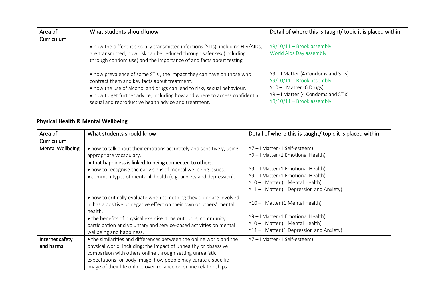| Area of    | What students should know                                                                                                                                                                                                                                                                                                             | Detail of where this is taught/ topic it is placed within                                                                                                              |
|------------|---------------------------------------------------------------------------------------------------------------------------------------------------------------------------------------------------------------------------------------------------------------------------------------------------------------------------------------|------------------------------------------------------------------------------------------------------------------------------------------------------------------------|
| Curriculum |                                                                                                                                                                                                                                                                                                                                       |                                                                                                                                                                        |
|            | • how the different sexually transmitted infections (STIs), including HIV/AIDs,                                                                                                                                                                                                                                                       | $Y9/10/11 -$ Brook assembly                                                                                                                                            |
|            | are transmitted, how risk can be reduced through safer sex (including                                                                                                                                                                                                                                                                 | World Aids Day assembly                                                                                                                                                |
|            | through condom use) and the importance of and facts about testing.                                                                                                                                                                                                                                                                    |                                                                                                                                                                        |
|            | • how prevalence of some STIs, the impact they can have on those who<br>contract them and key facts about treatment.<br>• how the use of alcohol and drugs can lead to risky sexual behaviour.<br>• how to get further advice, including how and where to access confidential<br>sexual and reproductive health advice and treatment. | $Y9 - I$ Matter (4 Condoms and STIs)<br>$Y9/10/11 -$ Brook assembly<br>$Y10 - I$ Matter (6 Drugs)<br>Y9 - I Matter (4 Condoms and STIs)<br>$Y9/10/11 -$ Brook assembly |

## **Physical Health & Mental Wellbeing**

| Area of                      | What students should know                                                                                                                                                                                                                                                                                                                 | Detail of where this is taught/topic it is placed within                                                                                                                                                                   |
|------------------------------|-------------------------------------------------------------------------------------------------------------------------------------------------------------------------------------------------------------------------------------------------------------------------------------------------------------------------------------------|----------------------------------------------------------------------------------------------------------------------------------------------------------------------------------------------------------------------------|
| Curriculum                   |                                                                                                                                                                                                                                                                                                                                           |                                                                                                                                                                                                                            |
| <b>Mental Wellbeing</b>      | • how to talk about their emotions accurately and sensitively, using<br>appropriate vocabulary.<br>• that happiness is linked to being connected to others.<br>• how to recognise the early signs of mental wellbeing issues.<br>• common types of mental ill health (e.g. anxiety and depression).                                       | Y7-I Matter (1 Self-esteem)<br>Y9 - I Matter (1 Emotional Health)<br>Y9 - I Matter (1 Emotional Health)<br>Y9 - I Matter (1 Emotional Health)<br>Y10-I Matter (1 Mental Health)<br>Y11-I Matter (1 Depression and Anxiety) |
|                              | • how to critically evaluate when something they do or are involved<br>in has a positive or negative effect on their own or others' mental<br>health.<br>• the benefits of physical exercise, time outdoors, community<br>participation and voluntary and service-based activities on mental<br>wellbeing and happiness.                  | Y10-I Matter (1 Mental Health)<br>Y9-I Matter (1 Emotional Health)<br>Y10-I Matter (1 Mental Health)<br>Y11-I Matter (1 Depression and Anxiety)                                                                            |
| Internet safety<br>and harms | • the similarities and differences between the online world and the<br>physical world, including: the impact of unhealthy or obsessive<br>comparison with others online through setting unrealistic<br>expectations for body image, how people may curate a specific<br>image of their life online, over-reliance on online relationships | Y7-I Matter (1 Self-esteem)                                                                                                                                                                                                |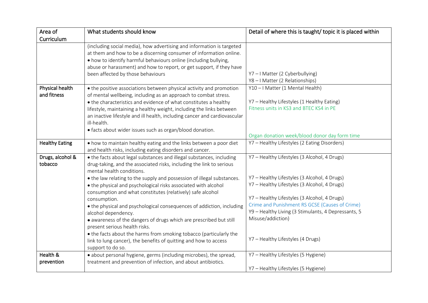| Area of                        | What students should know                                                                                                                                                                                                                                                                                                                                                                                                                                                                                                                                                                                                                                                                                                                                                 | Detail of where this is taught/topic it is placed within                                                                                                                                                                                                                                                                                                        |
|--------------------------------|---------------------------------------------------------------------------------------------------------------------------------------------------------------------------------------------------------------------------------------------------------------------------------------------------------------------------------------------------------------------------------------------------------------------------------------------------------------------------------------------------------------------------------------------------------------------------------------------------------------------------------------------------------------------------------------------------------------------------------------------------------------------------|-----------------------------------------------------------------------------------------------------------------------------------------------------------------------------------------------------------------------------------------------------------------------------------------------------------------------------------------------------------------|
| Curriculum                     |                                                                                                                                                                                                                                                                                                                                                                                                                                                                                                                                                                                                                                                                                                                                                                           |                                                                                                                                                                                                                                                                                                                                                                 |
|                                | (including social media), how advertising and information is targeted<br>at them and how to be a discerning consumer of information online.<br>. how to identify harmful behaviours online (including bullying,<br>abuse or harassment) and how to report, or get support, if they have<br>been affected by those behaviours                                                                                                                                                                                                                                                                                                                                                                                                                                              | Y7-I Matter (2 Cyberbullying)<br>Y8-I Matter (2 Relationships)                                                                                                                                                                                                                                                                                                  |
| Physical health<br>and fitness | • the positive associations between physical activity and promotion<br>of mental wellbeing, including as an approach to combat stress.<br>• the characteristics and evidence of what constitutes a healthy<br>lifestyle, maintaining a healthy weight, including the links between<br>an inactive lifestyle and ill health, including cancer and cardiovascular<br>ill-health.<br>• facts about wider issues such as organ/blood donation.                                                                                                                                                                                                                                                                                                                                | Y10-I Matter (1 Mental Health)<br>Y7 - Healthy Lifestyles (1 Healthy Eating)<br>Fitness units in KS3 and BTEC KS4 in PE<br>Organ donation week/blood donor day form time                                                                                                                                                                                        |
| <b>Healthy Eating</b>          | . how to maintain healthy eating and the links between a poor diet<br>and health risks, including eating disorders and cancer.                                                                                                                                                                                                                                                                                                                                                                                                                                                                                                                                                                                                                                            | Y7 - Healthy Lifestyles (2 Eating Disorders)                                                                                                                                                                                                                                                                                                                    |
| Drugs, alcohol &<br>tobacco    | • the facts about legal substances and illegal substances, including<br>drug-taking, and the associated risks, including the link to serious<br>mental health conditions.<br>• the law relating to the supply and possession of illegal substances.<br>• the physical and psychological risks associated with alcohol<br>consumption and what constitutes (relatively) safe alcohol<br>consumption.<br>• the physical and psychological consequences of addiction, including<br>alcohol dependency.<br>· awareness of the dangers of drugs which are prescribed but still<br>present serious health risks.<br>• the facts about the harms from smoking tobacco (particularly the<br>link to lung cancer), the benefits of quitting and how to access<br>support to do so. | Y7 - Healthy Lifestyles (3 Alcohol, 4 Drugs)<br>Y7 - Healthy Lifestyles (3 Alcohol, 4 Drugs)<br>Y7 - Healthy Lifestyles (3 Alcohol, 4 Drugs)<br>Y7 - Healthy Lifestyles (3 Alcohol, 4 Drugs)<br>Crime and Punishment RS GCSE (Causes of Crime)<br>Y9 - Healthy Living (3 Stimulants, 4 Depressants, 5<br>Misuse/addiction)<br>Y7 - Healthy Lifestyles (4 Drugs) |
| Health &<br>prevention         | · about personal hygiene, germs (including microbes), the spread,<br>treatment and prevention of infection, and about antibiotics.                                                                                                                                                                                                                                                                                                                                                                                                                                                                                                                                                                                                                                        | Y7 - Healthy Lifestyles (5 Hygiene)<br>Y7 - Healthy Lifestyles (5 Hygiene)                                                                                                                                                                                                                                                                                      |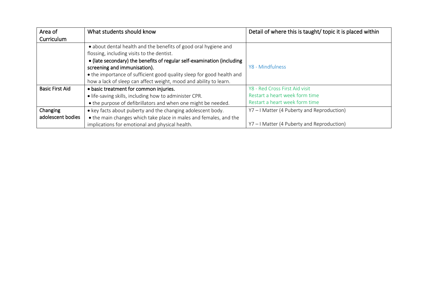| Area of                | What students should know                                                                                     | Detail of where this is taught/ topic it is placed within |
|------------------------|---------------------------------------------------------------------------------------------------------------|-----------------------------------------------------------|
| Curriculum             |                                                                                                               |                                                           |
|                        | • about dental health and the benefits of good oral hygiene and<br>flossing, including visits to the dentist. |                                                           |
|                        | • (late secondary) the benefits of regular self-examination (including                                        |                                                           |
|                        | screening and immunisation).                                                                                  | Y8 - Mindfulness                                          |
|                        | • the importance of sufficient good quality sleep for good health and                                         |                                                           |
|                        | how a lack of sleep can affect weight, mood and ability to learn.                                             |                                                           |
| <b>Basic First Aid</b> | • basic treatment for common injuries.                                                                        | Y8 - Red Cross First Aid visit                            |
|                        | • life-saving skills, including how to administer CPR.                                                        | Restart a heart week form time                            |
|                        | • the purpose of defibrillators and when one might be needed.                                                 | Restart a heart week form time                            |
| Changing               | • key facts about puberty and the changing adolescent body.                                                   | Y7-I Matter (4 Puberty and Reproduction)                  |
| adolescent bodies      | • the main changes which take place in males and females, and the                                             |                                                           |
|                        | implications for emotional and physical health.                                                               | Y7-I Matter (4 Puberty and Reproduction)                  |